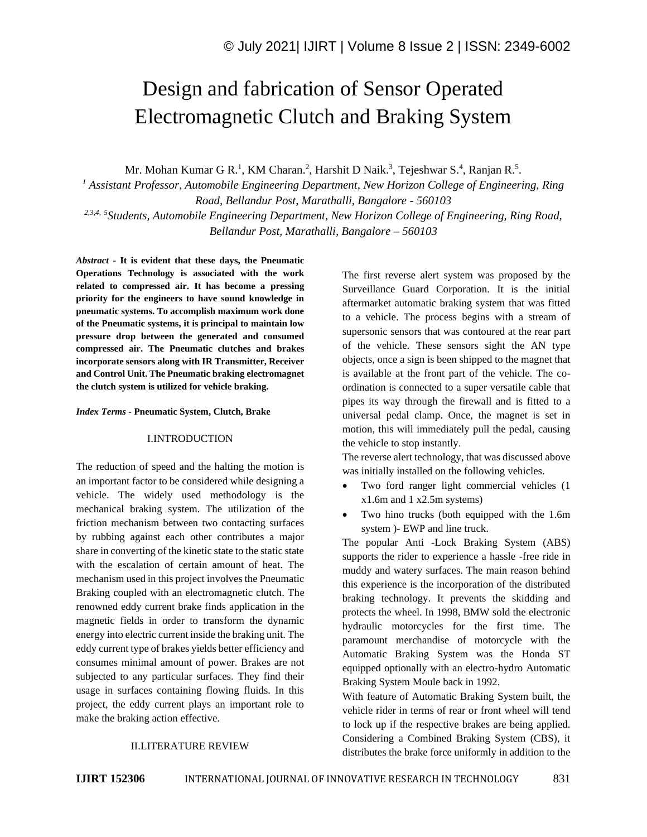# Design and fabrication of Sensor Operated Electromagnetic Clutch and Braking System

Mr. Mohan Kumar G R.<sup>1</sup>, KM Charan.<sup>2</sup>, Harshit D Naik.<sup>3</sup>, Tejeshwar S.<sup>4</sup>, Ranjan R.<sup>5</sup>.

*<sup>1</sup> Assistant Professor, Automobile Engineering Department, New Horizon College of Engineering, Ring Road, Bellandur Post, Marathalli, Bangalore - 560103 2,3,4, 5 Students, Automobile Engineering Department, New Horizon College of Engineering, Ring Road, Bellandur Post, Marathalli, Bangalore – 560103*

*Abstract -* **It is evident that these days, the Pneumatic Operations Technology is associated with the work related to compressed air. It has become a pressing priority for the engineers to have sound knowledge in pneumatic systems. To accomplish maximum work done of the Pneumatic systems, it is principal to maintain low pressure drop between the generated and consumed compressed air. The Pneumatic clutches and brakes incorporate sensors along with IR Transmitter, Receiver and Control Unit. The Pneumatic braking electromagnet the clutch system is utilized for vehicle braking.**

#### *Index Terms -* **Pneumatic System, Clutch, Brake**

#### I.INTRODUCTION

The reduction of speed and the halting the motion is an important factor to be considered while designing a vehicle. The widely used methodology is the mechanical braking system. The utilization of the friction mechanism between two contacting surfaces by rubbing against each other contributes a major share in converting of the kinetic state to the static state with the escalation of certain amount of heat. The mechanism used in this project involves the Pneumatic Braking coupled with an electromagnetic clutch. The renowned eddy current brake finds application in the magnetic fields in order to transform the dynamic energy into electric current inside the braking unit. The eddy current type of brakes yields better efficiency and consumes minimal amount of power. Brakes are not subjected to any particular surfaces. They find their usage in surfaces containing flowing fluids. In this project, the eddy current plays an important role to make the braking action effective.

The first reverse alert system was proposed by the Surveillance Guard Corporation. It is the initial aftermarket automatic braking system that was fitted to a vehicle. The process begins with a stream of supersonic sensors that was contoured at the rear part of the vehicle. These sensors sight the AN type objects, once a sign is been shipped to the magnet that is available at the front part of the vehicle. The coordination is connected to a super versatile cable that pipes its way through the firewall and is fitted to a universal pedal clamp. Once, the magnet is set in motion, this will immediately pull the pedal, causing the vehicle to stop instantly.

The reverse alert technology, that was discussed above was initially installed on the following vehicles.

- Two ford ranger light commercial vehicles (1) x1.6m and 1 x2.5m systems)
- Two hino trucks (both equipped with the 1.6m system )- EWP and line truck.

The popular Anti -Lock Braking System (ABS) supports the rider to experience a hassle -free ride in muddy and watery surfaces. The main reason behind this experience is the incorporation of the distributed braking technology. It prevents the skidding and protects the wheel. In 1998, BMW sold the electronic hydraulic motorcycles for the first time. The paramount merchandise of motorcycle with the Automatic Braking System was the Honda ST equipped optionally with an electro-hydro Automatic Braking System Moule back in 1992.

With feature of Automatic Braking System built, the vehicle rider in terms of rear or front wheel will tend to lock up if the respective brakes are being applied. Considering a Combined Braking System (CBS), it distributes the brake force uniformly in addition to the

#### II.LITERATURE REVIEW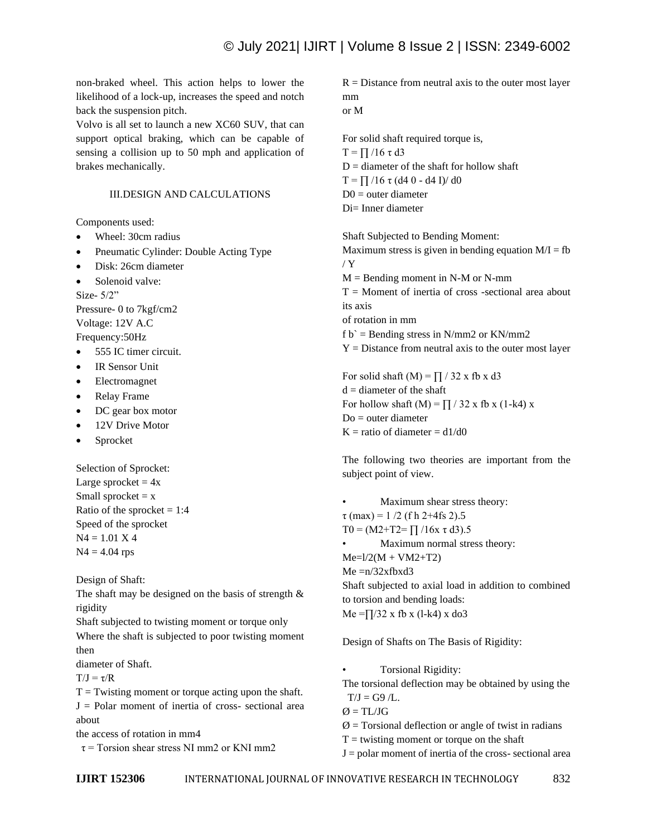non-braked wheel. This action helps to lower the likelihood of a lock-up, increases the speed and notch back the suspension pitch.

Volvo is all set to launch a new XC60 SUV, that can support optical braking, which can be capable of sensing a collision up to 50 mph and application of brakes mechanically.

## III.DESIGN AND CALCULATIONS

Components used:

- Wheel: 30cm radius
- Pneumatic Cylinder: Double Acting Type
- Disk: 26cm diameter
- Solenoid valve:

Size- 5/2" Pressure- 0 to 7kgf/cm2 Voltage: 12V A.C Frequency:50Hz

- 555 IC timer circuit.
- IR Sensor Unit
- Electromagnet
- Relay Frame
- DC gear box motor
- 12V Drive Motor
- Sprocket

Selection of Sprocket: Large sprocket  $= 4x$ Small sprocket  $= x$ Ratio of the sprocket  $= 1:4$ Speed of the sprocket  $N4 = 1.01 X 4$  $N4 = 4.04$  rps

Design of Shaft:

The shaft may be designed on the basis of strength  $\&$ rigidity

Shaft subjected to twisting moment or torque only

Where the shaft is subjected to poor twisting moment then

diameter of Shaft.

 $T/J = \tau/R$ 

 $T =$ Twisting moment or torque acting upon the shaft.  $J =$  Polar moment of inertia of cross- sectional area about

the access of rotation in mm4

 $\tau$  = Torsion shear stress NI mm2 or KNI mm2

 $R =$  Distance from neutral axis to the outer most layer mm or M

For solid shaft required torque is, T =  $\prod$  /16 τ d3  $D =$  diameter of the shaft for hollow shaft T =  $\prod$  /16 τ (d4 0 - d4 I)/ d0  $D0 =$  outer diameter Di= Inner diameter

Shaft Subjected to Bending Moment: Maximum stress is given in bending equation  $M/I = fb$ / Y  $M =$ Bending moment in N-M or N-mm  $T =$  Moment of inertia of cross -sectional area about its axis of rotation in mm f  $b$  = Bending stress in N/mm2 or KN/mm2  $Y = Distance from neutral axis to the outer most layer$ 

For solid shaft  $(M) = \prod / 32$  x fb x d3  $d =$  diameter of the shaft For hollow shaft (M) =  $\prod$  / 32 x fb x (1-k4) x Do = outer diameter  $K =$  ratio of diameter = d1/d0

The following two theories are important from the subject point of view.

• Maximum shear stress theory:  $\tau$  (max) = 1/2 (f h 2+4fs 2).5 T0 =  $(M2+T2=$   $\prod$  /16x τ d3).5 • Maximum normal stress theory:  $Me=1/2(M + VM2+T2)$  $Me = n/32x$ fbxd $3$ Shaft subjected to axial load in addition to combined to torsion and bending loads:  $Me = \frac{1}{32} x$  fb x (l-k4) x do3

Design of Shafts on The Basis of Rigidity:

• Torsional Rigidity:

The torsional deflection may be obtained by using the  $T/J = G9/L$ .

 $\varnothing$  = TL/JG

 $\emptyset$  = Torsional deflection or angle of twist in radians

 $T =$  twisting moment or torque on the shaft

 $J =$  polar moment of inertia of the cross- sectional area

**IJIRT 152306** INTERNATIONAL JOURNAL OF INNOVATIVE RESEARCH IN TECHNOLOGY 832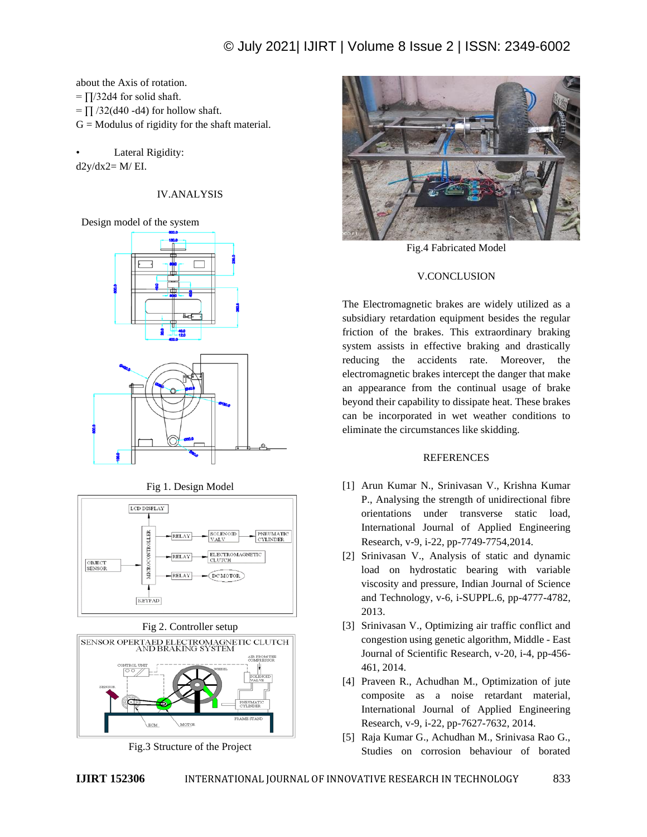about the Axis of rotation.  $= \prod / 32d4$  for solid shaft.  $=$   $\prod$  /32(d40 -d4) for hollow shaft.  $G =$  Modulus of rigidity for the shaft material.

Lateral Rigidity:  $d2y/dx2=M/EI$ .

# IV.ANALYSIS

## Design model of the system



Fig 1. Design Model







Fig.3 Structure of the Project



Fig.4 Fabricated Model

# V.CONCLUSION

The Electromagnetic brakes are widely utilized as a subsidiary retardation equipment besides the regular friction of the brakes. This extraordinary braking system assists in effective braking and drastically reducing the accidents rate. Moreover, the electromagnetic brakes intercept the danger that make an appearance from the continual usage of brake beyond their capability to dissipate heat. These brakes can be incorporated in wet weather conditions to eliminate the circumstances like skidding.

## REFERENCES

- [1] Arun Kumar N., Srinivasan V., Krishna Kumar P., Analysing the strength of unidirectional fibre orientations under transverse static load, International Journal of Applied Engineering Research, v-9, i-22, pp-7749-7754,2014.
- [2] Srinivasan V., Analysis of static and dynamic load on hydrostatic bearing with variable viscosity and pressure, Indian Journal of Science and Technology, v-6, i-SUPPL.6, pp-4777-4782, 2013.
- [3] Srinivasan V., Optimizing air traffic conflict and congestion using genetic algorithm, Middle - East Journal of Scientific Research, v-20, i-4, pp-456- 461, 2014.
- [4] Praveen R., Achudhan M., Optimization of jute composite as a noise retardant material, International Journal of Applied Engineering Research, v-9, i-22, pp-7627-7632, 2014.
- [5] Raja Kumar G., Achudhan M., Srinivasa Rao G., Studies on corrosion behaviour of borated